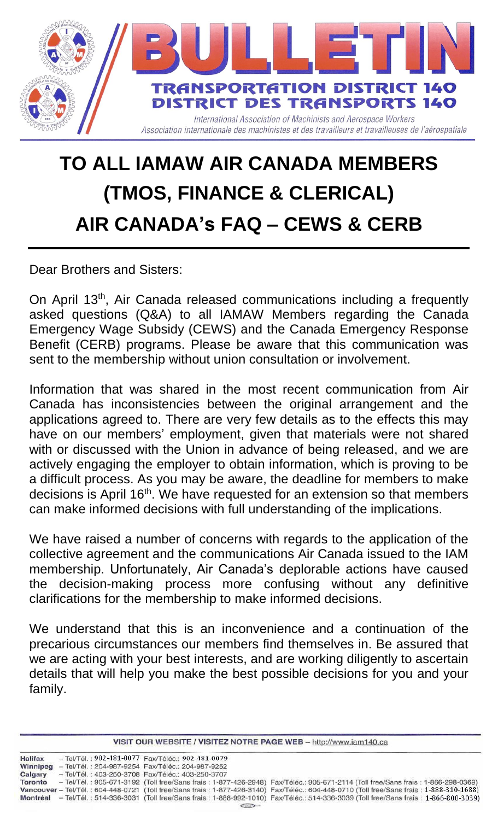

## **TO ALL IAMAW AIR CANADA MEMBERS (TMOS, FINANCE & CLERICAL) AIR CANADA's FAQ – CEWS & CERB**

Dear Brothers and Sisters:

On April 13<sup>th</sup>, Air Canada released communications including a frequently asked questions (Q&A) to all IAMAW Members regarding the Canada Emergency Wage Subsidy (CEWS) and the Canada Emergency Response Benefit (CERB) programs. Please be aware that this communication was sent to the membership without union consultation or involvement.

Information that was shared in the most recent communication from Air Canada has inconsistencies between the original arrangement and the applications agreed to. There are very few details as to the effects this may have on our members' employment, given that materials were not shared with or discussed with the Union in advance of being released, and we are actively engaging the employer to obtain information, which is proving to be a difficult process. As you may be aware, the deadline for members to make decisions is April 16<sup>th</sup>. We have requested for an extension so that members can make informed decisions with full understanding of the implications.

We have raised a number of concerns with regards to the application of the collective agreement and the communications Air Canada issued to the IAM membership. Unfortunately, Air Canada's deplorable actions have caused the decision-making process more confusing without any definitive clarifications for the membership to make informed decisions.

We understand that this is an inconvenience and a continuation of the precarious circumstances our members find themselves in. Be assured that we are acting with your best interests, and are working diligently to ascertain details that will help you make the best possible decisions for you and your family.